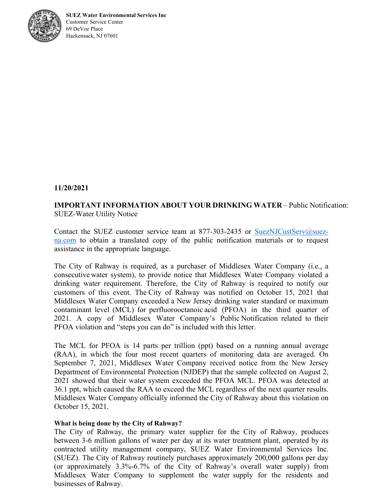

**SUEZ Water Environmental Services Inc**  Customer Service Center 69 DeVoe Place Hackensack, NJ 07601

## **11/20/2021**

## **IMPORTANT INFORMATION ABOUT YOUR DRINKING WATER – Public Notification:** SUEZ-Water Utility Notice

Contact the SUEZ customer service team at 877-303-2435 or  $SuezNJCustServ@suez$ na.com to obtain a translated copy of the public notification materials or to request assistance in the appropriate language.

The City of Rahway is required, as a purchaser of Middlesex Water Company (i.e., a consecutive water system), to provide notice that Middlesex Water Company violated a drinking water requirement. Therefore, the City of Rahway is required to notify our customers of this event. The City of Rahway was notified on October 15, 2021 that Middlesex Water Company exceeded a New Jersey drinking water standard or maximum contaminant level (MCL) for perfluorooctanoic acid (PFOA) in the third quarter of 2021. A copy of Middlesex Water Company's Public Notification related to their PFOA violation and "steps you can do" is included with this letter.

The MCL for PFOA is 14 parts per trillion (ppt) based on a running annual average (RAA), in which the four most recent quarters of monitoring data are averaged. On September 7, 2021, Middlesex Water Company received notice from the New Jersey Department of Environmental Protection (NJDEP) that the sample collected on August 2, 2021 showed that their water system exceeded the PFOA MCL. PFOA was detected at 36.1 ppt, which caused the RAA to exceed the MCL regardless of the next quarter results. Middlesex Water Company officially informed the City of Rahway about this violation on October 15, 2021.

## **What is being done by the City of Rahway?**

The City of Rahway, the primary water supplier for the City of Rahway, produces between 3-6 million gallons of water per day at its water treatment plant, operated by its contracted utility management company, SUEZ Water Environmental Services Inc. (SUEZ). The City of Rahway routinely purchases approximately 200,000 gallons per day (or approximately 3.3%-6.7% of the City of Rahway's overall water supply) from Middlesex Water Company to supplement the water supply for the residents and businesses of Rahway.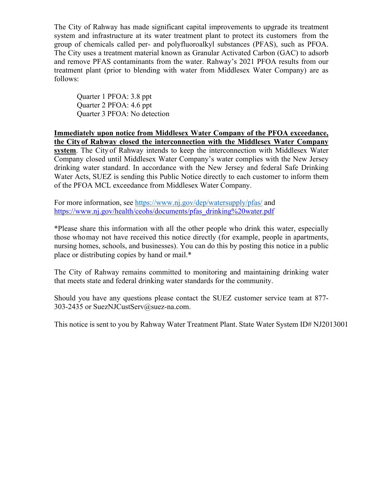The City of Rahway has made significant capital improvements to upgrade its treatment system and infrastructure at its water treatment plant to protect its customers from the group of chemicals called per- and polyfluoroalkyl substances (PFAS), such as PFOA. The City uses a treatment material known as Granular Activated Carbon (GAC) to adsorb and remove PFAS contaminants from the water. Rahway's 2021 PFOA results from our treatment plant (prior to blending with water from Middlesex Water Company) are as follows:

Quarter 1 PFOA: 3.8 ppt Quarter 2 PFOA: 4.6 ppt Quarter 3 PFOA: No detection

**Immediately upon notice from Middlesex Water Company of the PFOA exceedance, the City of Rahway closed the interconnection with the Middlesex Water Company system**. The City of Rahway intends to keep the interconnection with Middlesex Water Company closed until Middlesex Water Company's water complies with the New Jersey drinking water standard. In accordance with the New Jersey and federal Safe Drinking Water Acts, SUEZ is sending this Public Notice directly to each customer to inform them of the PFOA MCL exceedance from Middlesex Water Company.

For more information, see https://www.nj.gov/dep/watersupply/pfas/ and https://www.nj.gov/health/ceohs/documents/pfas\_drinking%20water.pdf

\*Please share this information with all the other people who drink this water, especially those who may not have received this notice directly (for example, people in apartments, nursing homes, schools, and businesses). You can do this by posting this notice in a public place or distributing copies by hand or mail.\*

The City of Rahway remains committed to monitoring and maintaining drinking water that meets state and federal drinking water standards for the community.

Should you have any questions please contact the SUEZ customer service team at 877- 303-2435 or SuezNJCustServ@suez-na.com.

This notice is sent to you by Rahway Water Treatment Plant. State Water System ID# NJ2013001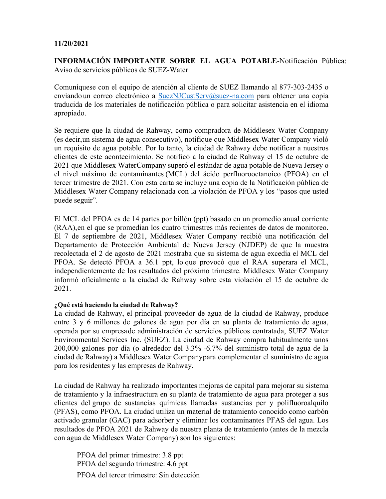## **11/20/2021**

**INFORMACIÓN IMPORTANTE SOBRE EL AGUA POTABLE**-Notificación Pública: Aviso de servicios públicos de SUEZ-Water

Comuníquese con el equipo de atención al cliente de SUEZ llamando al 877-303-2435 o enviando un correo electrónico a SuezNJCustServ@suez-na.com para obtener una copia traducida de los materiales de notificación pública o para solicitar asistencia en el idioma apropiado.

Se requiere que la ciudad de Rahway, como compradora de Middlesex Water Company (es decir, un sistema de agua consecutivo), notifique que Middlesex Water Company violó un requisito de agua potable. Por lo tanto, la ciudad de Rahway debe notificar a nuestros clientes de este acontecimiento. Se notificó a la ciudad de Rahway el 15 de octubre de 2021 que Middlesex Water Company superó el estándar de agua potable de Nueva Jersey o el nivel máximo de contaminantes (MCL) del ácido perfluorooctanoico (PFOA) en el tercer trimestre de 2021. Con esta carta se incluye una copia de la Notificación pública de Middlesex Water Company relacionada con la violación de PFOA y los "pasos que usted puede seguir".

El MCL del PFOA es de 14 partes por billón (ppt) basado en un promedio anual corriente (RAA), en el que se promedian los cuatro trimestres más recientes de datos de monitoreo. El 7 de septiembre de 2021, Middlesex Water Company recibió una notificación del Departamento de Protección Ambiental de Nueva Jersey (NJDEP) de que la muestra recolectada el 2 de agosto de 2021 mostraba que su sistema de agua excedía el MCL del PFOA. Se detectó PFOA a 36.1 ppt, lo que provocó que el RAA superara el MCL, independientemente de los resultados del próximo trimestre. Middlesex Water Company informó oficialmente a la ciudad de Rahway sobre esta violación el 15 de octubre de 2021.

## **¿Qué está haciendo la ciudad de Rahway?**

La ciudad de Rahway, el principal proveedor de agua de la ciudad de Rahway, produce entre 3 y 6 millones de galones de agua por día en su planta de tratamiento de agua, operada por su empresa de administración de servicios públicos contratada, SUEZ Water Environmental Services Inc. (SUEZ). La ciudad de Rahway compra habitualmente unos 200,000 galones por día (o alrededor del 3.3% -6.7% del suministro total de agua de la ciudad de Rahway) a Middlesex Water Company para complementar el suministro de agua para los residentes y las empresas de Rahway.

La ciudad de Rahway ha realizado importantes mejoras de capital para mejorar su sistema de tratamiento y la infraestructura en su planta de tratamiento de agua para proteger a sus clientes del grupo de sustancias químicas llamadas sustancias per y polifluoroalquilo (PFAS), como PFOA. La ciudad utiliza un material de tratamiento conocido como carbón activado granular (GAC) para adsorber y eliminar los contaminantes PFAS del agua. Los resultados de PFOA 2021 de Rahway de nuestra planta de tratamiento (antes de la mezcla con agua de Middlesex Water Company) son los siguientes:

PFOA del primer trimestre: 3.8 ppt PFOA del segundo trimestre: 4.6 ppt PFOA del tercer trimestre: Sin detección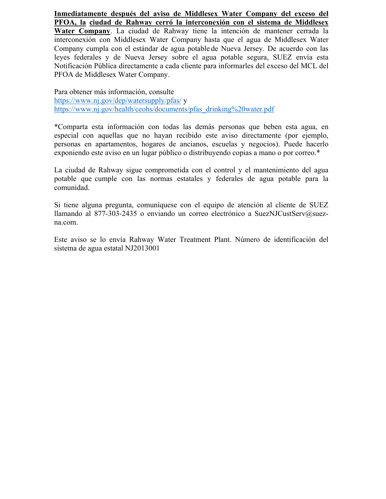**Inmediatamente después del aviso de Middlesex Water Company del exceso del PFOA, la ciudad de Rahway cerró la interconexión con el sistema de Middlesex Water Company**. La ciudad de Rahway tiene la intención de mantener cerrada la interconexión con Middlesex Water Company hasta que el agua de Middlesex Water Company cumpla con el estándar de agua potable de Nueva Jersey. De acuerdo con las leyes federales y de Nueva Jersey sobre el agua potable segura, SUEZ envía esta Notificación Pública directamente a cada cliente para informarles del exceso del MCL del

Para obtener más información, consulte https://www.nj.gov/dep/watersupply/pfas/ y https://www.nj.gov/health/ceohs/documents/pfas\_drinking%20water.pdf

PFOA de Middlesex Water Company.

\*Comparta esta información con todas las demás personas que beben esta agua, en especial con aquellas que no hayan recibido este aviso directamente (por ejemplo, personas en apartamentos, hogares de ancianos, escuelas y negocios). Puede hacerlo exponiendo este aviso en un lugar público o distribuyendo copias a mano o por correo.\*

La ciudad de Rahway sigue comprometida con el control y el mantenimiento del agua potable que cumple con las normas estatales y federales de agua potable para la comunidad.

Si tiene alguna pregunta, comuníquese con el equipo de atención al cliente de SUEZ llamando al 877-303-2435 o enviando un correo electrónico a SuezNJCustServ@suezna.com.

Este aviso se lo envía Rahway Water Treatment Plant. Número de identificación del sistema de agua estatal NJ2013001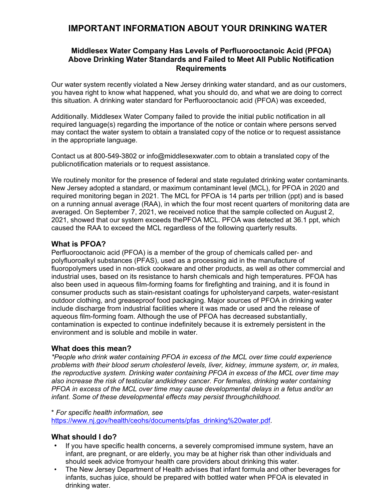# **IMPORTANT INFORMATION ABOUT YOUR DRINKING WATER**

## **Middlesex Water Company Has Levels of Perfluorooctanoic Acid (PFOA) Above Drinking Water Standards and Failed to Meet All Public Notification Requirements**

Our water system recently violated a New Jersey drinking water standard, and as our customers, you havea right to know what happened, what you should do, and what we are doing to correct this situation. A drinking water standard for Perfluorooctanoic acid (PFOA) was exceeded,

Additionally. Middlesex Water Company failed to provide the initial public notification in all required language(s) regarding the importance of the notice or contain where persons served may contact the water system to obtain a translated copy of the notice or to request assistance in the appropriate language.

Contact us at 800-549-3802 or info@middlesexwater.com to obtain a translated copy of the publicnotification materials or to request assistance.

We routinely monitor for the presence of federal and state regulated drinking water contaminants. New Jersey adopted a standard, or maximum contaminant level (MCL), for PFOA in 2020 and required monitoring began in 2021. The MCL for PFOA is 14 parts per trillion (ppt) and is based on a running annual average (RAA), in which the four most recent quarters of monitoring data are averaged. On September 7, 2021, we received notice that the sample collected on August 2, 2021, showed that our system exceeds the PFOA MCL. PFOA was detected at 36.1 ppt, which caused the RAA to exceed the MCL regardless of the following quarterly results.

## **What is PFOA?**

Perfluorooctanoic acid (PFOA) is a member of the group of chemicals called per- and polyfluoroalkyl substances (PFAS), used as a processing aid in the manufacture of fluoropolymers used in non-stick cookware and other products, as well as other commercial and industrial uses, based on its resistance to harsh chemicals and high temperatures. PFOA has also been used in aqueous film-forming foams for firefighting and training, and it is found in consumer products such as stain-resistant coatings for upholstery and carpets, water-resistant outdoor clothing, and greaseproof food packaging. Major sources of PFOA in drinking water include discharge from industrial facilities where it was made or used and the release of aqueous film-forming foam. Although the use of PFOA has decreased substantially, contamination is expected to continue indefinitely because it is extremely persistent in the environment and is soluble and mobile in water.

## **What does this mean?**

*\*People who drink water containing PFOA in excess of the MCL over time could experience problems with their blood serum cholesterol levels, liver, kidney, immune system, or, in males, the reproductive system. Drinking water containing PFOA in excess of the MCL over time may also increase the risk of testicular and kidney cancer. For females, drinking water containing PFOA in excess of the MCL over time may cause developmental delays in a fetus and/or an infant. Some of these developmental effects may persist through childhood.* 

\* *For specific health information, see* 

https://www.nj.gov/health/ceohs/documents/pfas\_drinking%20water.pdf.

## **What should I do?**

- If you have specific health concerns, a severely compromised immune system, have an infant, are pregnant, or are elderly, you may be at higher risk than other individuals and should seek advice fromyour health care providers about drinking this water.
- The New Jersey Department of Health advises that infant formula and other beverages for infants, suchas juice, should be prepared with bottled water when PFOA is elevated in drinking water.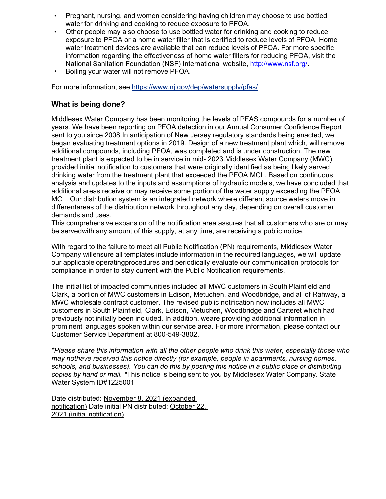- Pregnant, nursing, and women considering having children may choose to use bottled water for drinking and cooking to reduce exposure to PFOA.
- Other people may also choose to use bottled water for drinking and cooking to reduce exposure to PFOA or a home water filter that is certified to reduce levels of PFOA. Home water treatment devices are available that can reduce levels of PFOA. For more specific information regarding the effectiveness of home water filters for reducing PFOA, visit the National Sanitation Foundation (NSF) International website, http://www.nsf.org/.
- Boiling your water will not remove PFOA.

For more information, see https://www.nj.gov/dep/watersupply/pfas/

## **What is being done?**

Middlesex Water Company has been monitoring the levels of PFAS compounds for a number of years. We have been reporting on PFOA detection in our Annual Consumer Confidence Report sent to you since 2008. In anticipation of New Jersey regulatory standards being enacted, we began evaluating treatment options in 2019. Design of a new treatment plant which, will remove additional compounds, including PFOA, was completed and is under construction. The new treatment plant is expected to be in service in mid- 2023.Middlesex Water Company (MWC) provided initial notification to customers that were originally identified as being likely served drinking water from the treatment plant that exceeded the PFOA MCL. Based on continuous analysis and updates to the inputs and assumptions of hydraulic models, we have concluded that additional areas receive or may receive some portion of the water supply exceeding the PFOA MCL. Our distribution system is an integrated network where different source waters move in differentareas of the distribution network throughout any day, depending on overall customer demands and uses.

This comprehensive expansion of the notification area assures that all customers who are or may be served with any amount of this supply, at any time, are receiving a public notice.

With regard to the failure to meet all Public Notification (PN) requirements, Middlesex Water Company willensure all templates include information in the required languages, we will update our applicable operating procedures and periodically evaluate our communication protocols for compliance in order to stay current with the Public Notification requirements.

The initial list of impacted communities included all MWC customers in South Plainfield and Clark, a portion of MWC customers in Edison, Metuchen, and Woodbridge, and all of Rahway, a MWC wholesale contract customer. The revised public notification now includes all MWC customers in South Plainfield, Clark, Edison, Metuchen, Woodbridge and Carteret which had previously not initially been included. In addition, we are providing additional information in prominent languages spoken within our service area. For more information, please contact our Customer Service Department at 800-549-3802.

*\*Please share this information with all the other people who drink this water, especially those who may nothave received this notice directly (for example, people in apartments, nursing homes, schools, and businesses). You can do this by posting this notice in a public place or distributing copies by hand or mail. \** This notice is being sent to you by Middlesex Water Company. State Water System ID#1225001

Date distributed: November 8, 2021 (expanded notification) Date initial PN distributed: October 22, 2021 (initial notification)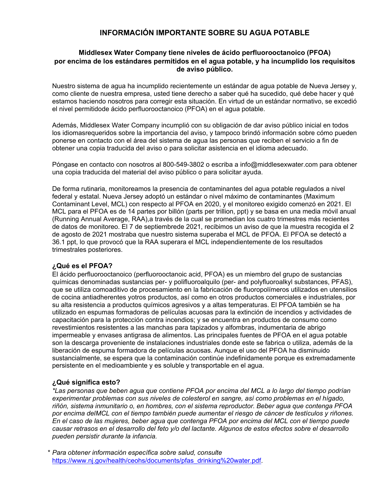## **INFORMACIÓN IMPORTANTE SOBRE SU AGUA POTABLE**

#### **Middlesex Water Company tiene niveles de ácido perfluorooctanoico (PFOA) por encima de los estándares permitidos en el agua potable, y ha incumplido los requisitos de aviso público.**

Nuestro sistema de agua ha incumplido recientemente un estándar de agua potable de Nueva Jersey y, como cliente de nuestra empresa, usted tiene derecho a saber qué ha sucedido, qué debe hacer y qué estamos haciendo nosotros para corregir esta situación. En virtud de un estándar normativo, se excedió el nivel permitido de ácido perfluoro octanoico (PFOA) en el agua potable.

Además, Middlesex Water Company incumplió con su obligación de dar aviso público inicial en todos los idiomas requeridos sobre la importancia del aviso, y tampoco brindó información sobre cómo pueden ponerse en contacto con el área del sistema de agua las personas que reciben el servicio a fin de obtener una copia traducida del aviso o para solicitar asistencia en el idioma adecuado.

Póngase en contacto con nosotros al 800-549-3802 o escriba a info@middlesexwater.com para obtener una copia traducida del material del aviso público o para solicitar ayuda.

De forma rutinaria, monitoreamos la presencia de contaminantes del agua potable regulados a nivel federal y estatal. Nueva Jersey adoptó un estándar o nivel máximo de contaminantes (Maximum Contaminant Level, MCL) con respecto al PFOA en 2020, y el monitoreo exigido comenzó en 2021. El MCL para el PFOA es de 14 partes por billón (parts per trillion, ppt) y se basa en una media móvil anual (Running Annual Average, RAA), a través de la cual se promedian los cuatro trimestres más recientes de datos de monitoreo. El 7 de septiembre de 2021, recibimos un aviso de que la muestra recogida el 2 de agosto de 2021 mostraba que nuestro sistema superaba el MCL de PFOA. El PFOA se detectó a 36.1 ppt, lo que provocó que la RAA superara el MCL independientemente de los resultados trimestrales posteriores.

## **¿Qué es el PFOA?**

El ácido perfluorooctanoico (perfluorooctanoic acid, PFOA) es un miembro del grupo de sustancias químicas denominadas sustancias per- y polifluoroalquilo (per- and polyfluoroalkyl substances, PFAS), que se utiliza comoaditivo de procesamiento en la fabricación de fluoropolímeros utilizados en utensilios de cocina antiadherentes y otros productos, así como en otros productos comerciales e industriales, por su alta resistencia a productos químicos agresivos y a altas temperaturas. El PFOA también se ha utilizado en espumas formadoras de películas acuosas para la extinción de incendios y actividades de capacitación para la protección contra incendios; y se encuentra en productos de consumo como revestimientos resistentes a las manchas para tapizados y alfombras, indumentaria de abrigo impermeable y envases antigrasa de alimentos. Las principales fuentes de PFOA en el agua potable son la descarga proveniente de instalaciones industriales donde este se fabrica o utiliza, además de la liberación de espuma formadora de películas acuosas. Aunque el uso del PFOA ha disminuido sustancialmente, se espera que la contaminación continúe indefinidamente porque es extremadamente persistente en el medioambiente y es soluble y transportable en el agua.

#### **¿Qué significa esto?**

*\*Las personas que beben agua que contiene PFOA por encima del MCL a lo largo del tiempo podrían experimentar problemas con sus niveles de colesterol en sangre, así como problemas en el hígado, riñón, sistema inmunitario o, en hombres, con el sistema reproductor. Beber agua que contenga PFOA por encima del MCL con el tiempo también puede aumentar el riesgo de cáncer de testículos y riñones. En el caso de las mujeres, beber agua que contenga PFOA por encima del MCL con el tiempo puede causar retrasos en el desarrollo del feto y/o del lactante. Algunos de estos efectos sobre el desarrollo pueden persistir durante la infancia.* 

\* *Para obtener información específica sobre salud, consulte*  https://www.nj.gov/health/ceohs/documents/pfas\_drinking%20water.pdf.